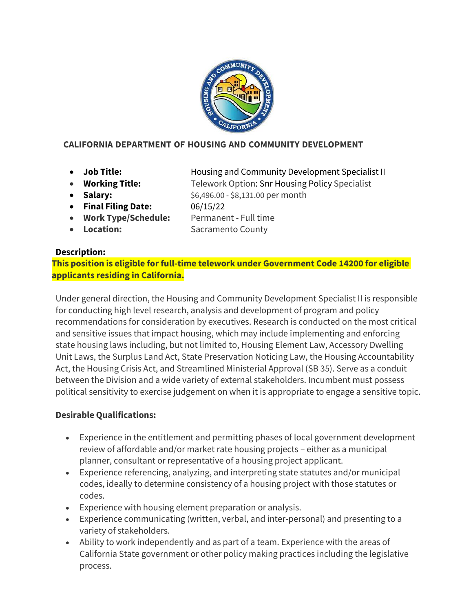

## **CALIFORNIA DEPARTMENT OF HOUSING AND COMMUNITY DEVELOPMENT**

- 
- 

• **Job Title:** Housing and Community Development Specialist II • **Working Title:** Telework Option: Snr Housing Policy Specialist

- **Salary:**  $$6,496.00 $8,131.00$  per month
- **Final Filing Date:** 06/15/22

• **Work Type/Schedule:** Permanent - Full time

- 
- 

• **Location:** Sacramento County

## **Description:**

**This position is eligible for full-time telework under Government Code 14200 for eligible applicants residing in California.**

Under general direction, the Housing and Community Development Specialist II is responsible for conducting high level research, analysis and development of program and policy recommendations for consideration by executives. Research is conducted on the most critical and sensitive issues that impact housing, which may include implementing and enforcing state housing laws including, but not limited to, Housing Element Law, Accessory Dwelling Unit Laws, the Surplus Land Act, State Preservation Noticing Law, the Housing Accountability Act, the Housing Crisis Act, and Streamlined Ministerial Approval (SB 35). Serve as a conduit between the Division and a wide variety of external stakeholders. Incumbent must possess political sensitivity to exercise judgement on when it is appropriate to engage a sensitive topic.

## **Desirable Qualifications:**

- Experience in the entitlement and permitting phases of local government development review of affordable and/or market rate housing projects – either as a municipal planner, consultant or representative of a housing project applicant.
- Experience referencing, analyzing, and interpreting state statutes and/or municipal codes, ideally to determine consistency of a housing project with those statutes or codes.
- Experience with housing element preparation or analysis.
- Experience communicating (written, verbal, and inter-personal) and presenting to a variety of stakeholders.
- Ability to work independently and as part of a team. Experience with the areas of California State government or other policy making practices including the legislative process.